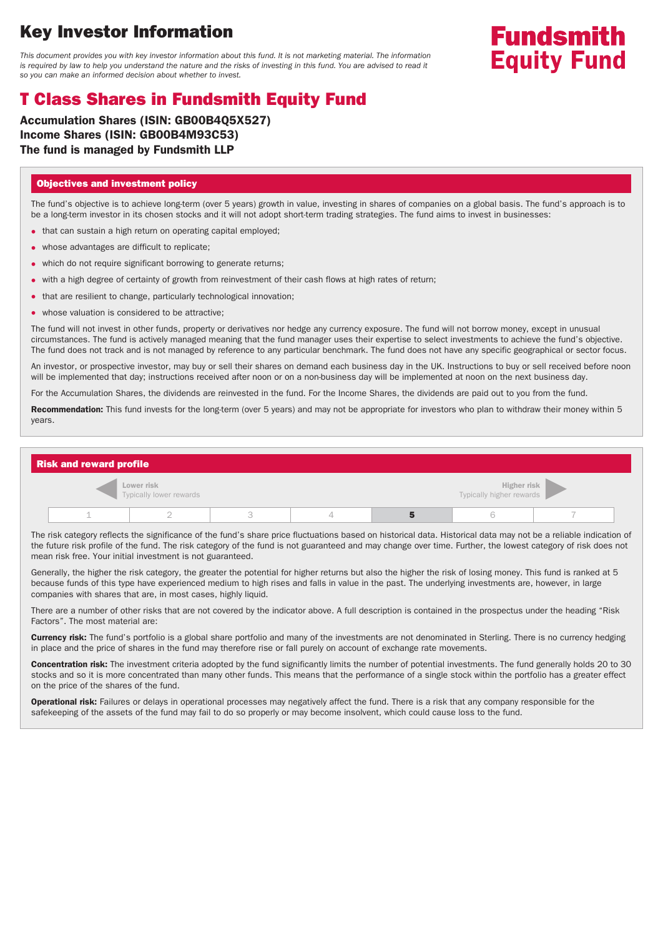## **Key Investor Information**

This document provides you with key investor information about this fund. It is not marketing material. The information is required by law to help you understand the nature and the risks of investing in this fund. You are advised to read it so you can make an informed decision about whether to invest.

# **Fundsmith Equity Fund**

## **T Class Shares in Fundsmith Equity Fund**

**Accumulation Shares (ISIN: GB00B4Q5X527) Income Shares (ISIN: GB00B4M93C53) The fund is managed by Fundsmith LLP**

#### **Objectives and investment policy**

The fund's objective is to achieve long-term (over 5 years) growth in value, investing in shares of companies on a global basis. The fund's approach is to be a long-term investor in its chosen stocks and it will not adopt short-term trading strategies. The fund aims to invest in businesses:

- that can sustain a high return on operating capital employed;
- whose advantages are difficult to replicate;
- which do not require significant borrowing to generate returns;
- with a high degree of certainty of growth from reinvestment of their cash flows at high rates of return;
- that are resilient to change, particularly technological innovation;
- whose valuation is considered to be attractive;

The fund will not invest in other funds, property or derivatives nor hedge any currency exposure. The fund will not borrow money, except in unusual circumstances. The fund is actively managed meaning that the fund manager uses their expertise to select investments to achieve the fund's objective. The fund does not track and is not managed by reference to any particular benchmark. The fund does not have any specific geographical or sector focus.

An investor, or prospective investor, may buy or sell their shares on demand each business day in the UK. Instructions to buy or sell received before noon will be implemented that day; instructions received after noon or on a non-business day will be implemented at noon on the next business day.

For the Accumulation Shares, the dividends are reinvested in the fund. For the Income Shares, the dividends are paid out to you from the fund.

**Recommendation:** This fund invests for the long-term (over 5 years) and may not be appropriate for investors who plan to withdraw their money within 5 years.

| <b>Risk and reward profile</b>        |  |  |  |                                         |  |  |  |  |  |
|---------------------------------------|--|--|--|-----------------------------------------|--|--|--|--|--|
| Lower risk<br>Typically lower rewards |  |  |  | Higher risk<br>Typically higher rewards |  |  |  |  |  |
|                                       |  |  |  |                                         |  |  |  |  |  |

The risk category reflects the significance of the fund's share price fluctuations based on historical data. Historical data may not be a reliable indication of the future risk profile of the fund. The risk category of the fund is not guaranteed and may change over time. Further, the lowest category of risk does not mean risk free. Your initial investment is not guaranteed.

Generally, the higher the risk category, the greater the potential for higher returns but also the higher the risk of losing money. This fund is ranked at 5 because funds of this type have experienced medium to high rises and falls in value in the past. The underlying investments are, however, in large companies with shares that are, in most cases, highly liquid.

There are a number of other risks that are not covered by the indicator above. A full description is contained in the prospectus under the heading "Risk Factors". The most material are:

**Currency risk:** The fund's portfolio is a global share portfolio and many of the investments are not denominated in Sterling. There is no currency hedging in place and the price of shares in the fund may therefore rise or fall purely on account of exchange rate movements.

**Concentration risk:** The investment criteria adopted by the fund significantly limits the number of potential investments. The fund generally holds 20 to 30 stocks and so it is more concentrated than many other funds. This means that the performance of a single stock within the portfolio has a greater effect on the price of the shares of the fund.

**Operational risk:** Failures or delays in operational processes may negatively affect the fund. There is a risk that any company responsible for the safekeeping of the assets of the fund may fail to do so properly or may become insolvent, which could cause loss to the fund.